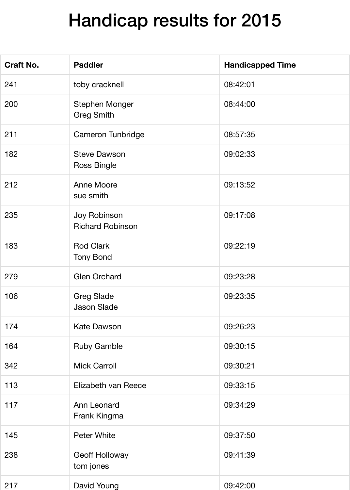## Handicap results for 2015

| <b>Craft No.</b> | <b>Paddler</b>                             | <b>Handicapped Time</b> |
|------------------|--------------------------------------------|-------------------------|
| 241              | toby cracknell                             | 08:42:01                |
| 200              | <b>Stephen Monger</b><br><b>Greg Smith</b> | 08:44:00                |
| 211              | <b>Cameron Tunbridge</b>                   | 08:57:35                |
| 182              | <b>Steve Dawson</b><br><b>Ross Bingle</b>  | 09:02:33                |
| 212              | <b>Anne Moore</b><br>sue smith             | 09:13:52                |
| 235              | Joy Robinson<br><b>Richard Robinson</b>    | 09:17:08                |
| 183              | <b>Rod Clark</b><br><b>Tony Bond</b>       | 09:22:19                |
| 279              | <b>Glen Orchard</b>                        | 09:23:28                |
| 106              | <b>Greg Slade</b><br><b>Jason Slade</b>    | 09:23:35                |
| 174              | <b>Kate Dawson</b>                         | 09:26:23                |
| 164              | <b>Ruby Gamble</b>                         | 09:30:15                |
| 342              | <b>Mick Carroll</b>                        | 09:30:21                |
| 113              | Elizabeth van Reece                        | 09:33:15                |
| 117              | Ann Leonard<br>Frank Kingma                | 09:34:29                |
| 145              | <b>Peter White</b>                         | 09:37:50                |
| 238              | <b>Geoff Holloway</b><br>tom jones         | 09:41:39                |
| 217              | David Young                                | 09:42:00                |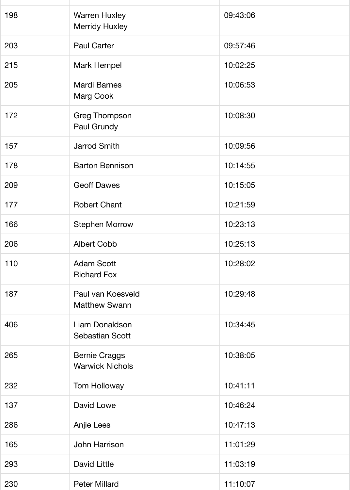| 198 | <b>Warren Huxley</b><br><b>Merridy Huxley</b>  | 09:43:06 |
|-----|------------------------------------------------|----------|
| 203 | <b>Paul Carter</b>                             | 09:57:46 |
| 215 | <b>Mark Hempel</b>                             | 10:02:25 |
| 205 | <b>Mardi Barnes</b><br><b>Marg Cook</b>        | 10:06:53 |
| 172 | <b>Greg Thompson</b><br>Paul Grundy            | 10:08:30 |
| 157 | <b>Jarrod Smith</b>                            | 10:09:56 |
| 178 | <b>Barton Bennison</b>                         | 10:14:55 |
| 209 | <b>Geoff Dawes</b>                             | 10:15:05 |
| 177 | <b>Robert Chant</b>                            | 10:21:59 |
| 166 | <b>Stephen Morrow</b>                          | 10:23:13 |
| 206 | <b>Albert Cobb</b>                             | 10:25:13 |
| 110 | <b>Adam Scott</b><br><b>Richard Fox</b>        | 10:28:02 |
| 187 | Paul van Koesveld<br><b>Matthew Swann</b>      | 10:29:48 |
| 406 | Liam Donaldson<br><b>Sebastian Scott</b>       | 10:34:45 |
| 265 | <b>Bernie Craggs</b><br><b>Warwick Nichols</b> | 10:38:05 |
| 232 | <b>Tom Holloway</b>                            | 10:41:11 |
| 137 | David Lowe                                     | 10:46:24 |
| 286 | Anjie Lees                                     | 10:47:13 |
| 165 | John Harrison                                  | 11:01:29 |
| 293 | <b>David Little</b>                            | 11:03:19 |
| 230 | <b>Peter Millard</b>                           | 11:10:07 |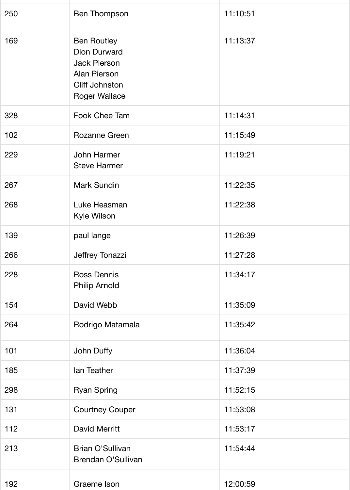| 250 | <b>Ben Thompson</b>                                                                                                               | 11:10:51 |
|-----|-----------------------------------------------------------------------------------------------------------------------------------|----------|
| 169 | <b>Ben Routley</b><br><b>Dion Durward</b><br><b>Jack Pierson</b><br>Alan Pierson<br><b>Cliff Johnston</b><br><b>Roger Wallace</b> | 11:13:37 |
| 328 | Fook Chee Tam                                                                                                                     | 11:14:31 |
| 102 | Rozanne Green                                                                                                                     | 11:15:49 |
| 229 | John Harmer<br><b>Steve Harmer</b>                                                                                                | 11:19:21 |
| 267 | <b>Mark Sundin</b>                                                                                                                | 11:22:35 |
| 268 | Luke Heasman<br>Kyle Wilson                                                                                                       | 11:22:38 |
| 139 | paul lange                                                                                                                        | 11:26:39 |
| 266 | Jeffrey Tonazzi                                                                                                                   | 11:27:28 |
| 228 | <b>Ross Dennis</b><br><b>Philip Arnold</b>                                                                                        | 11:34:17 |
| 154 | David Webb                                                                                                                        | 11:35:09 |
| 264 | Rodrigo Matamala                                                                                                                  | 11:35:42 |
| 101 | John Duffy                                                                                                                        | 11:36:04 |
| 185 | lan Teather                                                                                                                       | 11:37:39 |
| 298 | <b>Ryan Spring</b>                                                                                                                | 11:52:15 |
| 131 | <b>Courtney Couper</b>                                                                                                            | 11:53:08 |
| 112 | <b>David Merritt</b>                                                                                                              | 11:53:17 |
| 213 | <b>Brian O'Sullivan</b><br><b>Brendan O'Sullivan</b>                                                                              | 11:54:44 |
| 192 | Graeme Ison                                                                                                                       | 12:00:59 |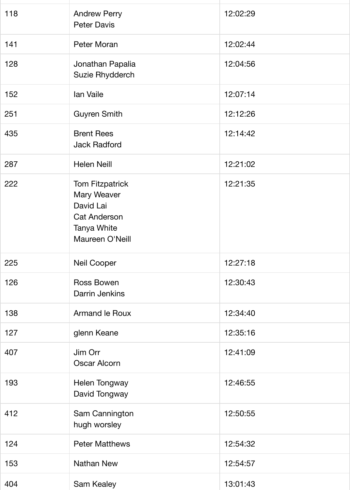| 118 | <b>Andrew Perry</b><br><b>Peter Davis</b>                                                                          | 12:02:29 |
|-----|--------------------------------------------------------------------------------------------------------------------|----------|
| 141 | Peter Moran                                                                                                        | 12:02:44 |
| 128 | Jonathan Papalia<br>Suzie Rhydderch                                                                                | 12:04:56 |
| 152 | Ian Vaile                                                                                                          | 12:07:14 |
| 251 | <b>Guyren Smith</b>                                                                                                | 12:12:26 |
| 435 | <b>Brent Rees</b><br><b>Jack Radford</b>                                                                           | 12:14:42 |
| 287 | <b>Helen Neill</b>                                                                                                 | 12:21:02 |
| 222 | <b>Tom Fitzpatrick</b><br>Mary Weaver<br>David Lai<br><b>Cat Anderson</b><br><b>Tanya White</b><br>Maureen O'Neill | 12:21:35 |
| 225 | <b>Neil Cooper</b>                                                                                                 | 12:27:18 |
| 126 | <b>Ross Bowen</b><br>Darrin Jenkins                                                                                | 12:30:43 |
| 138 | <b>Armand le Roux</b>                                                                                              | 12:34:40 |
| 127 | glenn Keane                                                                                                        | 12:35:16 |
| 407 | Jim Orr<br><b>Oscar Alcorn</b>                                                                                     | 12:41:09 |
| 193 | Helen Tongway<br>David Tongway                                                                                     | 12:46:55 |
| 412 | Sam Cannington<br>hugh worsley                                                                                     | 12:50:55 |
| 124 | <b>Peter Matthews</b>                                                                                              | 12:54:32 |
| 153 | <b>Nathan New</b>                                                                                                  | 12:54:57 |
| 404 | <b>Sam Kealey</b>                                                                                                  | 13:01:43 |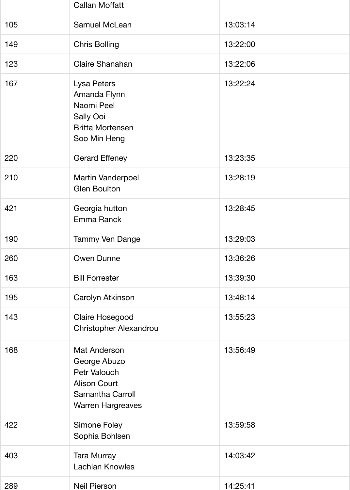|     | <b>Callan Moffatt</b>                                                                                                             |          |
|-----|-----------------------------------------------------------------------------------------------------------------------------------|----------|
| 105 | <b>Samuel McLean</b>                                                                                                              | 13:03:14 |
| 149 | <b>Chris Bolling</b>                                                                                                              | 13:22:00 |
| 123 | <b>Claire Shanahan</b>                                                                                                            | 13:22:06 |
| 167 | Lysa Peters<br>Amanda Flynn<br>Naomi Peel<br><b>Sally Ooi</b><br><b>Britta Mortensen</b><br>Soo Min Heng                          | 13:22:24 |
| 220 | <b>Gerard Effeney</b>                                                                                                             | 13:23:35 |
| 210 | <b>Martin Vanderpoel</b><br><b>Glen Boulton</b>                                                                                   | 13:28:19 |
| 421 | Georgia hutton<br>Emma Ranck                                                                                                      | 13:28:45 |
| 190 | <b>Tammy Ven Dange</b>                                                                                                            | 13:29:03 |
| 260 | <b>Owen Dunne</b>                                                                                                                 | 13:36:26 |
| 163 | <b>Bill Forrester</b>                                                                                                             | 13:39:30 |
| 195 | Carolyn Atkinson                                                                                                                  | 13:48:14 |
| 143 | Claire Hosegood<br><b>Christopher Alexandrou</b>                                                                                  | 13:55:23 |
| 168 | <b>Mat Anderson</b><br>George Abuzo<br>Petr Valouch<br><b>Alison Court</b><br><b>Samantha Carroll</b><br><b>Warren Hargreaves</b> | 13:56:49 |
| 422 | <b>Simone Foley</b><br>Sophia Bohlsen                                                                                             | 13:59:58 |
| 403 | Tara Murray<br><b>Lachlan Knowles</b>                                                                                             | 14:03:42 |
| 289 | <b>Neil Pierson</b>                                                                                                               | 14:25:41 |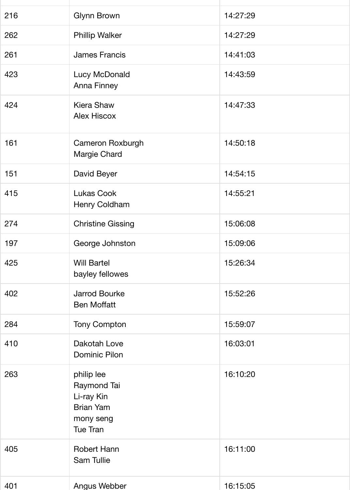| 216 | <b>Glynn Brown</b>                                                                          | 14:27:29 |
|-----|---------------------------------------------------------------------------------------------|----------|
| 262 | <b>Phillip Walker</b>                                                                       | 14:27:29 |
| 261 | <b>James Francis</b>                                                                        | 14:41:03 |
| 423 | Lucy McDonald<br><b>Anna Finney</b>                                                         | 14:43:59 |
| 424 | <b>Kiera Shaw</b><br><b>Alex Hiscox</b>                                                     | 14:47:33 |
| 161 | <b>Cameron Roxburgh</b><br>Margie Chard                                                     | 14:50:18 |
| 151 | David Beyer                                                                                 | 14:54:15 |
| 415 | <b>Lukas Cook</b><br>Henry Coldham                                                          | 14:55:21 |
| 274 | <b>Christine Gissing</b>                                                                    | 15:06:08 |
| 197 | George Johnston                                                                             | 15:09:06 |
| 425 | <b>Will Bartel</b><br>bayley fellowes                                                       | 15:26:34 |
| 402 | <b>Jarrod Bourke</b><br><b>Ben Moffatt</b>                                                  | 15:52:26 |
| 284 | <b>Tony Compton</b>                                                                         | 15:59:07 |
| 410 | Dakotah Love<br><b>Dominic Pilon</b>                                                        | 16:03:01 |
| 263 | philip lee<br>Raymond Tai<br>Li-ray Kin<br><b>Brian Yam</b><br>mony seng<br><b>Tue Tran</b> | 16:10:20 |
| 405 | <b>Robert Hann</b><br>Sam Tullie                                                            | 16:11:00 |
| 401 | Angus Webber                                                                                | 16:15:05 |

289 Neil Pierson 14:25:41